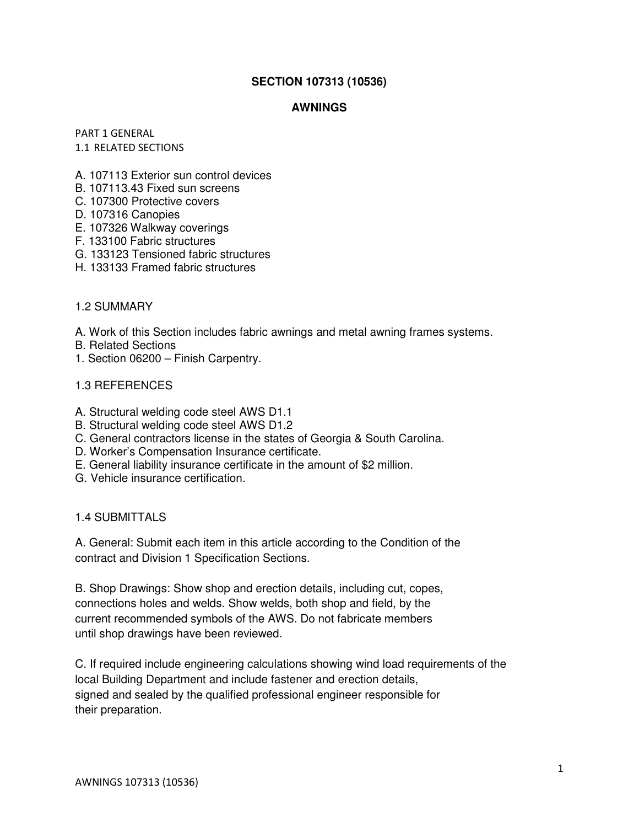# **SECTION 107313 (10536)**

### **AWNINGS**

PART 1 GENERAL 1.1 RELATED SECTIONS

- A. 107113 Exterior sun control devices
- B. 107113.43 Fixed sun screens
- C. 107300 Protective covers
- D. 107316 Canopies
- E. 107326 Walkway coverings
- F. 133100 Fabric structures
- G. 133123 Tensioned fabric structures
- H. 133133 Framed fabric structures

### 1.2 SUMMARY

A. Work of this Section includes fabric awnings and metal awning frames systems.

- B. Related Sections
- 1. Section 06200 Finish Carpentry.

### 1.3 REFERENCES

- A. Structural welding code steel AWS D1.1
- B. Structural welding code steel AWS D1.2
- C. General contractors license in the states of Georgia & South Carolina.
- D. Worker's Compensation Insurance certificate.
- E. General liability insurance certificate in the amount of \$2 million.
- G. Vehicle insurance certification.

# 1.4 SUBMITTALS

A. General: Submit each item in this article according to the Condition of the contract and Division 1 Specification Sections.

B. Shop Drawings: Show shop and erection details, including cut, copes, connections holes and welds. Show welds, both shop and field, by the current recommended symbols of the AWS. Do not fabricate members until shop drawings have been reviewed.

C. If required include engineering calculations showing wind load requirements of the local Building Department and include fastener and erection details, signed and sealed by the qualified professional engineer responsible for their preparation.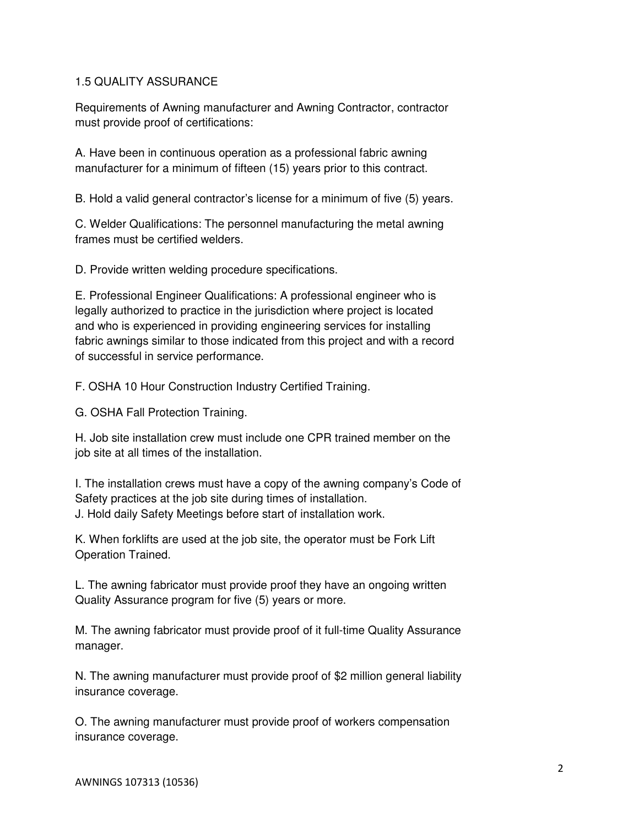# 1.5 QUALITY ASSURANCE

Requirements of Awning manufacturer and Awning Contractor, contractor must provide proof of certifications:

A. Have been in continuous operation as a professional fabric awning manufacturer for a minimum of fifteen (15) years prior to this contract.

B. Hold a valid general contractor's license for a minimum of five (5) years.

C. Welder Qualifications: The personnel manufacturing the metal awning frames must be certified welders.

D. Provide written welding procedure specifications.

E. Professional Engineer Qualifications: A professional engineer who is legally authorized to practice in the jurisdiction where project is located and who is experienced in providing engineering services for installing fabric awnings similar to those indicated from this project and with a record of successful in service performance.

F. OSHA 10 Hour Construction Industry Certified Training.

G. OSHA Fall Protection Training.

H. Job site installation crew must include one CPR trained member on the job site at all times of the installation.

I. The installation crews must have a copy of the awning company's Code of Safety practices at the job site during times of installation. J. Hold daily Safety Meetings before start of installation work.

K. When forklifts are used at the job site, the operator must be Fork Lift Operation Trained.

L. The awning fabricator must provide proof they have an ongoing written Quality Assurance program for five (5) years or more.

M. The awning fabricator must provide proof of it full-time Quality Assurance manager.

N. The awning manufacturer must provide proof of \$2 million general liability insurance coverage.

O. The awning manufacturer must provide proof of workers compensation insurance coverage.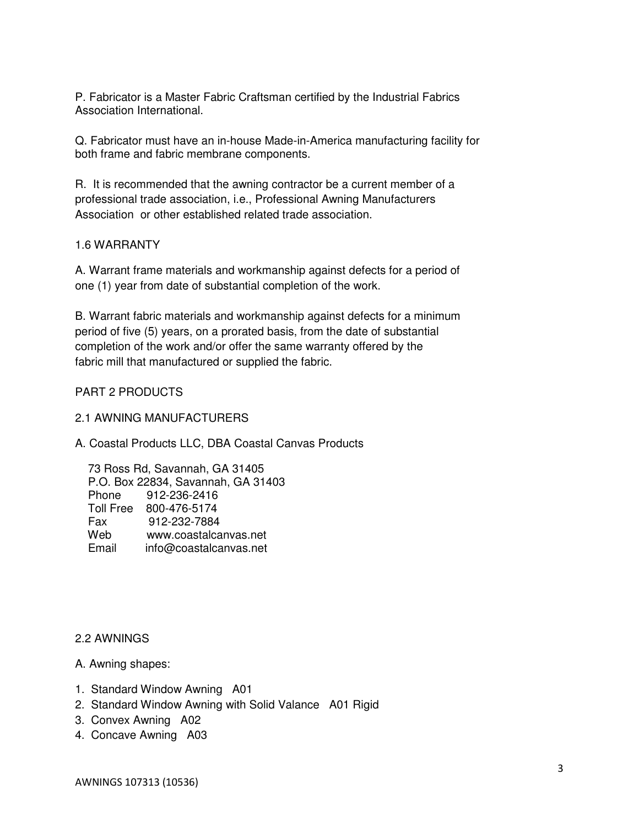P. Fabricator is a Master Fabric Craftsman certified by the Industrial Fabrics Association International.

Q. Fabricator must have an in-house Made-in-America manufacturing facility for both frame and fabric membrane components.

R. It is recommended that the awning contractor be a current member of a professional trade association, i.e., Professional Awning Manufacturers Association or other established related trade association.

### 1.6 WARRANTY

A. Warrant frame materials and workmanship against defects for a period of one (1) year from date of substantial completion of the work.

B. Warrant fabric materials and workmanship against defects for a minimum period of five (5) years, on a prorated basis, from the date of substantial completion of the work and/or offer the same warranty offered by the fabric mill that manufactured or supplied the fabric.

# PART 2 PRODUCTS

#### 2.1 AWNING MANUFACTURERS

A. Coastal Products LLC, DBA Coastal Canvas Products

 73 Ross Rd, Savannah, GA 31405 P.O. Box 22834, Savannah, GA 31403 Phone 912-236-2416 Toll Free 800-476-5174 Fax 912-232-7884 Web www.coastalcanvas.net Email info@coastalcanvas.net

### 2.2 AWNINGS

- A. Awning shapes:
- 1. Standard Window Awning A01
- 2. Standard Window Awning with Solid Valance A01 Rigid
- 3. Convex Awning A02
- 4. Concave Awning A03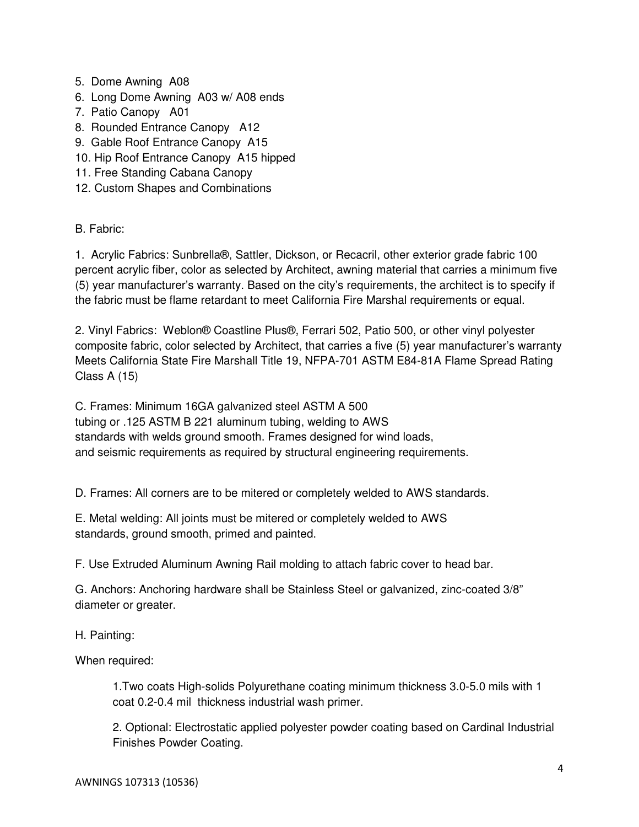- 5. Dome Awning A08
- 6. Long Dome Awning A03 w/ A08 ends
- 7. Patio Canopy A01
- 8. Rounded Entrance Canopy A12
- 9. Gable Roof Entrance Canopy A15
- 10. Hip Roof Entrance Canopy A15 hipped
- 11. Free Standing Cabana Canopy
- 12. Custom Shapes and Combinations

B. Fabric:

1. Acrylic Fabrics: Sunbrella®, Sattler, Dickson, or Recacril, other exterior grade fabric 100 percent acrylic fiber, color as selected by Architect, awning material that carries a minimum five (5) year manufacturer's warranty. Based on the city's requirements, the architect is to specify if the fabric must be flame retardant to meet California Fire Marshal requirements or equal.

2. Vinyl Fabrics: Weblon® Coastline Plus®, Ferrari 502, Patio 500, or other vinyl polyester composite fabric, color selected by Architect, that carries a five (5) year manufacturer's warranty Meets California State Fire Marshall Title 19, NFPA-701 ASTM E84-81A Flame Spread Rating Class A (15)

C. Frames: Minimum 16GA galvanized steel ASTM A 500 tubing or .125 ASTM B 221 aluminum tubing, welding to AWS standards with welds ground smooth. Frames designed for wind loads, and seismic requirements as required by structural engineering requirements.

D. Frames: All corners are to be mitered or completely welded to AWS standards.

E. Metal welding: All joints must be mitered or completely welded to AWS standards, ground smooth, primed and painted.

F. Use Extruded Aluminum Awning Rail molding to attach fabric cover to head bar.

G. Anchors: Anchoring hardware shall be Stainless Steel or galvanized, zinc-coated 3/8" diameter or greater.

H. Painting:

When required:

1.Two coats High-solids Polyurethane coating minimum thickness 3.0-5.0 mils with 1 coat 0.2-0.4 mil thickness industrial wash primer.

2. Optional: Electrostatic applied polyester powder coating based on Cardinal Industrial Finishes Powder Coating.